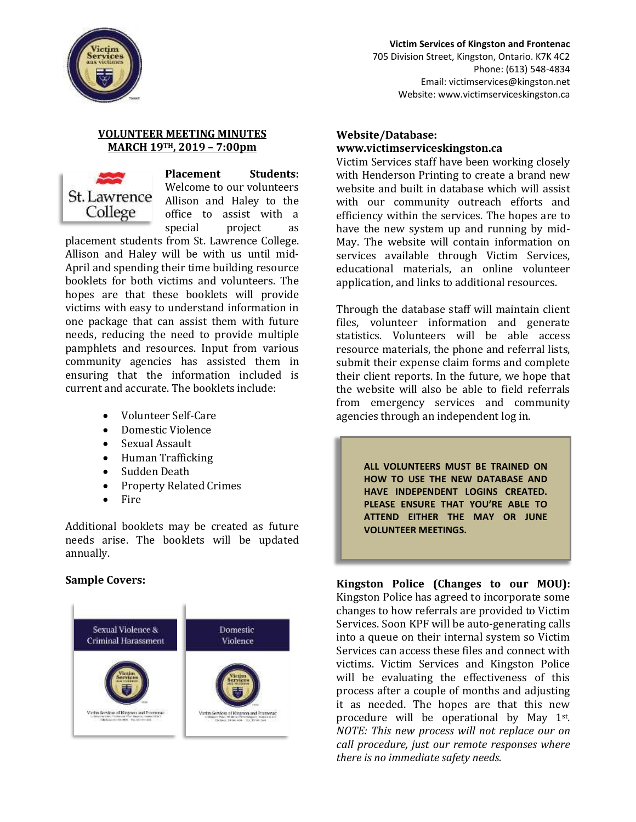

#### **Victim Services of Kingston and Frontenac** 705 Division Street, Kingston, Ontario. K7K 4C2 Phone: (613) 548-4834 Email: victimservices@kingston.net Website: www.victimserviceskingston.ca

## **VOLUNTEER MEETING MINUTES MARCH 19TH, 2019 – 7:00pm**



**Placement Students:** Welcome to our volunteers Allison and Haley to the office to assist with a special project as

placement students from St. Lawrence College. Allison and Haley will be with us until mid-April and spending their time building resource booklets for both victims and volunteers. The hopes are that these booklets will provide victims with easy to understand information in one package that can assist them with future needs, reducing the need to provide multiple pamphlets and resources. Input from various community agencies has assisted them in ensuring that the information included is current and accurate. The booklets include:

- Volunteer Self-Care
- Domestic Violence
- Sexual Assault
- Human Trafficking
- Sudden Death
- Property Related Crimes
- **Fire**

Additional booklets may be created as future needs arise. The booklets will be updated annually.

## **Sample Covers:**



## **Website/Database: www.victimserviceskingston.ca**

Victim Services staff have been working closely with Henderson Printing to create a brand new website and built in database which will assist with our community outreach efforts and efficiency within the services. The hopes are to have the new system up and running by mid-May. The website will contain information on services available through Victim Services, educational materials, an online volunteer application, and links to additional resources.

Through the database staff will maintain client files, volunteer information and generate statistics. Volunteers will be able access resource materials, the phone and referral lists, submit their expense claim forms and complete their client reports. In the future, we hope that the website will also be able to field referrals from emergency services and community agencies through an independent log in.

> **ALL VOLUNTEERS MUST BE TRAINED ON HOW TO USE THE NEW DATABASE AND HAVE INDEPENDENT LOGINS CREATED. PLEASE ENSURE THAT YOU'RE ABLE TO ATTEND EITHER THE MAY OR JUNE VOLUNTEER MEETINGS.**

**Kingston Police (Changes to our MOU):** Kingston Police has agreed to incorporate some changes to how referrals are provided to Victim Services. Soon KPF will be auto-generating calls into a queue on their internal system so Victim Services can access these files and connect with victims. Victim Services and Kingston Police will be evaluating the effectiveness of this process after a couple of months and adjusting it as needed. The hopes are that this new procedure will be operational by May 1st. *NOTE: This new process will not replace our on call procedure, just our remote responses where there is no immediate safety needs.*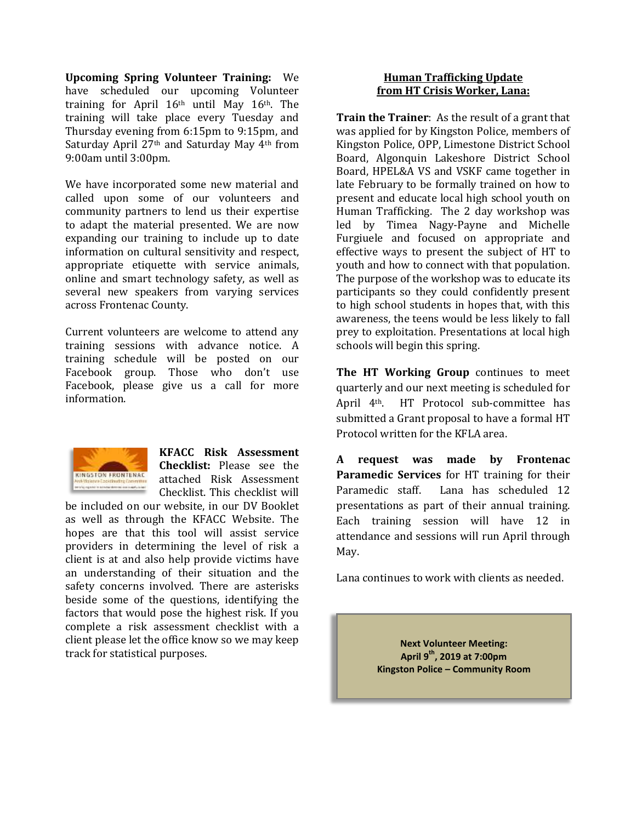**Upcoming Spring Volunteer Training:** We have scheduled our upcoming Volunteer training for April  $16<sup>th</sup>$  until May  $16<sup>th</sup>$ . The training will take place every Tuesday and Thursday evening from 6:15pm to 9:15pm, and Saturday April 27th and Saturday May 4th from 9:00am until 3:00pm.

We have incorporated some new material and called upon some of our volunteers and community partners to lend us their expertise to adapt the material presented. We are now expanding our training to include up to date information on cultural sensitivity and respect, appropriate etiquette with service animals, online and smart technology safety, as well as several new speakers from varying services across Frontenac County.

Current volunteers are welcome to attend any training sessions with advance notice. A training schedule will be posted on our Facebook group. Those who don't use Facebook, please give us a call for more information.



**KFACC Risk Assessment Checklist:** Please see the attached Risk Assessment Checklist. This checklist will

be included on our website, in our DV Booklet as well as through the KFACC Website. The hopes are that this tool will assist service providers in determining the level of risk a client is at and also help provide victims have an understanding of their situation and the safety concerns involved. There are asterisks beside some of the questions, identifying the factors that would pose the highest risk. If you complete a risk assessment checklist with a client please let the office know so we may keep track for statistical purposes.

## **Human Trafficking Update from HT Crisis Worker, Lana:**

**Train the Trainer**: As the result of a grant that was applied for by Kingston Police, members of Kingston Police, OPP, Limestone District School Board, Algonquin Lakeshore District School Board, HPEL&A VS and VSKF came together in late February to be formally trained on how to present and educate local high school youth on Human Trafficking. The 2 day workshop was led by Timea Nagy-Payne and Michelle Furgiuele and focused on appropriate and effective ways to present the subject of HT to youth and how to connect with that population. The purpose of the workshop was to educate its participants so they could confidently present to high school students in hopes that, with this awareness, the teens would be less likely to fall prey to exploitation. Presentations at local high schools will begin this spring.

**The HT Working Group** continues to meet quarterly and our next meeting is scheduled for April 4th. HT Protocol sub-committee has submitted a Grant proposal to have a formal HT Protocol written for the KFLA area.

**A request was made by Frontenac Paramedic Services** for HT training for their Paramedic staff. Lana has scheduled 12 presentations as part of their annual training. Each training session will have 12 in attendance and sessions will run April through May.

Lana continues to work with clients as needed.

**Next Volunteer Meeting: April 9 th, 2019 at 7:00pm Kingston Police – Community Room**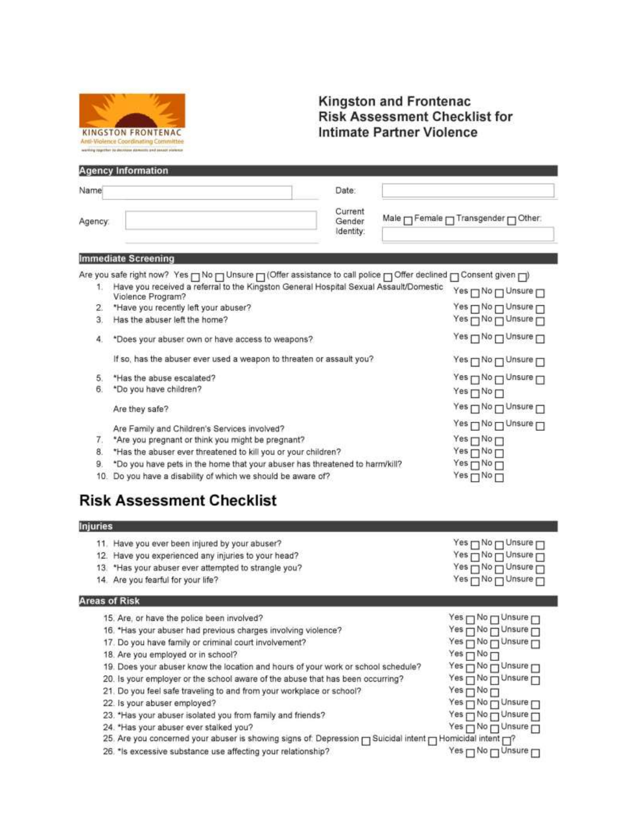

# **Kingston and Frontenac**<br>Risk Assessment Checklist for **Intimate Partner Violence**

|                 | <b>Agency Information</b>                                                                                        |                                                                          |
|-----------------|------------------------------------------------------------------------------------------------------------------|--------------------------------------------------------------------------|
| Name            | Date:                                                                                                            |                                                                          |
| Agency:         | Current<br>Gender<br>Identity:                                                                                   | Male <sub>IT</sub> Female <sub>IT</sub> Transgender <sub>IT</sub> Other: |
|                 | <b>Immediate Screening</b>                                                                                       |                                                                          |
|                 | Are you safe right now? Yes ┌┐No ┌┐Unsure ┌┐(Offer assistance to call police ┌┐Offer declined ┌┐Consent given ┌┐ |                                                                          |
| Ŧ.              | Have you received a referral to the Kingston General Hospital Sexual Assault/Domestic<br>Violence Program?       | Yes □ No □ Unsure □                                                      |
| 2.              | *Have you recently left your abuser?                                                                             | Yes Monumer                                                              |
| З.              | Has the abuser left the home?                                                                                    | Yes <sub>[1</sub> No <sub>[1</sub> Unsure [1]                            |
| 4.              | *Does your abuser own or have access to weapons?                                                                 | Yes <sub>[]</sub> No <sub>[]</sub> Unsure <sub>[]</sub>                  |
|                 | If so, has the abuser ever used a weapon to threaten or assault you?                                             | Yes <sub>[]</sub> No <sub>[]</sub> Unsure <sub>[]</sub>                  |
| 5.              | *Has the abuse escalated?                                                                                        | Yes□No□Unsure□                                                           |
| 6.              | *Do you have children?                                                                                           | $Yes \Box No \Box$                                                       |
|                 | Are they safe?                                                                                                   | Yes <sub>[No</sub>   Unsure T                                            |
|                 | Are Family and Children's Services involved?                                                                     | Yes <sub>[]</sub> No <sub>[]</sub> Unsure <sub>[]</sub>                  |
| 7.              | *Are you pregnant or think you might be pregnant?                                                                | $Yes \Box No \Box$                                                       |
| 8.              | *Has the abuser ever threatened to kill you or your children?                                                    | $Yes \Box No \Box$                                                       |
| 9.              | *Do you have pets in the home that your abuser has threatened to harm/kill?                                      | $Yes \Box No \Box$                                                       |
|                 | 10. Do you have a disability of which we should be aware of?                                                     | Yes□No□                                                                  |
|                 | <b>Risk Assessment Checklist</b>                                                                                 |                                                                          |
| <b>Injuries</b> |                                                                                                                  |                                                                          |
|                 | 11. Have you ever been injured by your abuser?                                                                   | Yes □ No □ Unsure □                                                      |
|                 | 12. Have you experienced any injuries to your head?                                                              | Yes non Unsure                                                           |
|                 | 13. *Has your abuser ever attempted to strangle you?                                                             | Yes <sub>[1</sub> No <sub>]</sub> Unsure <sub>[1]</sub>                  |
|                 | 14. Are you fearful for your life?                                                                               | Yes <sub>[]</sub> No <sub>[]</sub> Unsure <sub>[]</sub>                  |
|                 | <b>Areas of Risk</b>                                                                                             |                                                                          |
|                 | 15. Are, or have the police been involved?                                                                       | Yes <sub>[1</sub> No <sub>[1</sub> Unsure [1]                            |
|                 | 16. *Has your abuser had previous charges involving violence?                                                    | Yes no DUnsure                                                           |
|                 | 17. Do you have family or criminal court involvement?                                                            | Yes nNonUnsure                                                           |
|                 | 18. Are you employed or in school?                                                                               | $Yes \sqcap No \sqcap$                                                   |
|                 | 19. Does your abuser know the location and hours of your work or school schedule?                                | Yes <sub>m</sub> No m Unsure                                             |
|                 | 20. Is your employer or the school aware of the abuse that has been occurring?                                   | Yes m No m Unsure                                                        |
|                 | 21. Do you feel safe traveling to and from your workplace or school?                                             | $Yes \sqcap No \sqcap$                                                   |
|                 | 22. Is your abuser employed?                                                                                     | Yes <sub>I</sub> No <sub>I</sub> Unsure <sub>I</sub>                     |
|                 | 23. *Has your abuser isolated you from family and friends?                                                       | Yes m NomUnsure                                                          |
|                 | 24. *Has your abuser ever stalked you?                                                                           | Yes Monusure                                                             |
|                 | 25. Are you concerned your abuser is showing signs of: Depression m Suicidal intent m Homicidal intent m?        |                                                                          |
|                 | 26. *Is excessive substance use affecting your relationship?                                                     | Yes <sub>[]</sub> No <sub>[]</sub> Unsure <sub>[]</sub>                  |